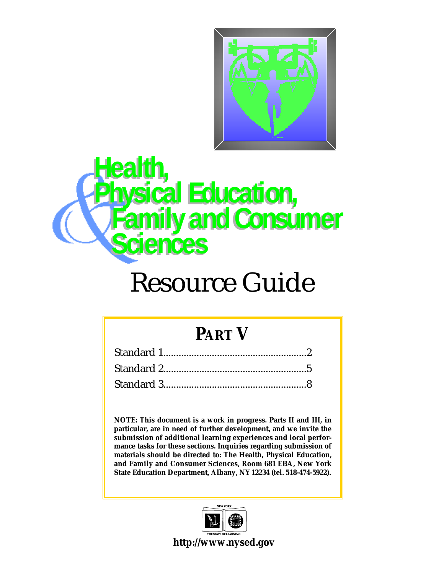

## ealth, **Physical Education, Family and Consumer S c i e n c e s**

## Resource Guide

#### **PART V**

**NOTE: This document is a work in progress. Parts II and III, in particular, are in need of further development, and we invite the submission of additional learning experiences and local performance tasks for these sections. Inquiries regarding submission of materials should be directed to: The Health, Physical Education,** and Family and Consumer Sciences, Room 681 EBA, New York **State Education Department, Albany, NY12234 (tel. 518-474-5922).**



**http://www.nysed.gov**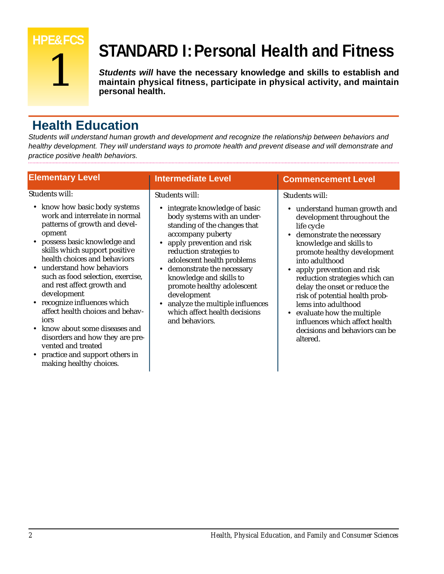

### **STANDARD I:Personal Health and Fitness**

*Students will* **have the necessary knowledge and skills to establish and maintain physical fitness, participate in physical activity, and maintain personal health.** 

#### **Health Education**

*Students will understand human growth and development and recognize the relationship between behaviors and healthy development. They will understand ways to promote health and prevent disease and will demonstrate and practice positive health behaviors.*

|                                                                                                                                                                                                                                                                                                                                                                                                           | <b>Intermediate Level</b>                                                                                                                                                                                                                                                                                                                                                                         | <b>Commencement Level</b>                                                                                                                                                                                                                                                                                                                                       |
|-----------------------------------------------------------------------------------------------------------------------------------------------------------------------------------------------------------------------------------------------------------------------------------------------------------------------------------------------------------------------------------------------------------|---------------------------------------------------------------------------------------------------------------------------------------------------------------------------------------------------------------------------------------------------------------------------------------------------------------------------------------------------------------------------------------------------|-----------------------------------------------------------------------------------------------------------------------------------------------------------------------------------------------------------------------------------------------------------------------------------------------------------------------------------------------------------------|
| <b>Elementary Level</b><br>Students will:<br>• know how basic body systems<br>work and interrelate in normal<br>patterns of growth and devel-<br>opment<br>• possess basic knowledge and<br>skills which support positive<br>health choices and behaviors<br>• understand how behaviors<br>such as food selection, exercise,<br>and rest affect growth and<br>development<br>• recognize influences which | <b>Students will:</b><br>integrate knowledge of basic<br>$\bullet$<br>body systems with an under-<br>standing of the changes that<br>accompany puberty<br>apply prevention and risk<br>reduction strategies to<br>adolescent health problems<br>demonstrate the necessary<br>knowledge and skills to<br>promote healthy adolescent<br>development<br>analyze the multiple influences<br>$\bullet$ | Students will:<br>• understand human growth and<br>development throughout the<br>life cycle<br>• demonstrate the necessary<br>knowledge and skills to<br>promote healthy development<br>into adulthood<br>apply prevention and risk<br>reduction strategies which can<br>delay the onset or reduce the<br>risk of potential health prob-<br>lems into adulthood |
| affect health choices and behav-<br>iors<br>• know about some diseases and<br>disorders and how they are pre-<br>vented and treated<br>• practice and support others in<br>making healthy choices.                                                                                                                                                                                                        | which affect health decisions<br>and behaviors.                                                                                                                                                                                                                                                                                                                                                   | • evaluate how the multiple<br>influences which affect health<br>decisions and behaviors can be<br>altered.                                                                                                                                                                                                                                                     |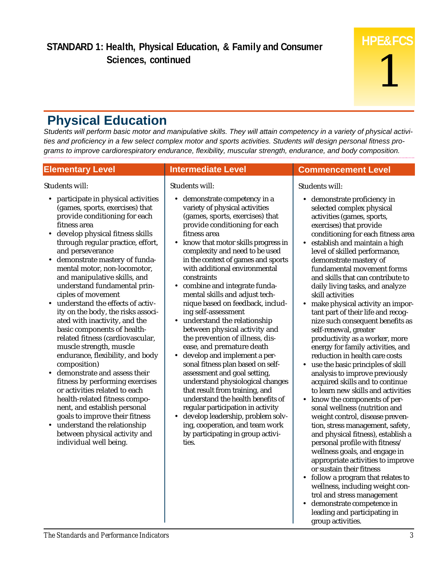#### **Physical Education**

*Students will perform basic motor and manipulative skills. They will attain competency in a variety of physical activities and proficiency in a few select complex motor and sports activities. Students will design personal fitness programs to improve cardiorespiratory endurance, flexibility, muscular strength, endurance, and body composition.*

| <b>Elementary Level</b>                                                                                                                                                                                                                                                                                                                                                                                                                                                                                                                                                                                                                                                                                                                                                                                                                                                                                                                                                                 | <b>Intermediate Level</b>                                                                                                                                                                                                                                                                                                                                                                                                                                                                                                                                                                                                                                                                                                                                                                                                                                                                                                                                                                                                       | <b>Commencement Level</b>                                                                                                                                                                                                                                                                                                                                                                                                                                                                                                                                                                                                                                                                                                                                                                                                                                                                                                                                                                                                                                                                                                                                                                                                                                                                                                                              |
|-----------------------------------------------------------------------------------------------------------------------------------------------------------------------------------------------------------------------------------------------------------------------------------------------------------------------------------------------------------------------------------------------------------------------------------------------------------------------------------------------------------------------------------------------------------------------------------------------------------------------------------------------------------------------------------------------------------------------------------------------------------------------------------------------------------------------------------------------------------------------------------------------------------------------------------------------------------------------------------------|---------------------------------------------------------------------------------------------------------------------------------------------------------------------------------------------------------------------------------------------------------------------------------------------------------------------------------------------------------------------------------------------------------------------------------------------------------------------------------------------------------------------------------------------------------------------------------------------------------------------------------------------------------------------------------------------------------------------------------------------------------------------------------------------------------------------------------------------------------------------------------------------------------------------------------------------------------------------------------------------------------------------------------|--------------------------------------------------------------------------------------------------------------------------------------------------------------------------------------------------------------------------------------------------------------------------------------------------------------------------------------------------------------------------------------------------------------------------------------------------------------------------------------------------------------------------------------------------------------------------------------------------------------------------------------------------------------------------------------------------------------------------------------------------------------------------------------------------------------------------------------------------------------------------------------------------------------------------------------------------------------------------------------------------------------------------------------------------------------------------------------------------------------------------------------------------------------------------------------------------------------------------------------------------------------------------------------------------------------------------------------------------------|
| Students will:<br>participate in physical activities<br>(games, sports, exercises) that<br>provide conditioning for each<br>fitness area<br>develop physical fitness skills<br>$\bullet$<br>through regular practice, effort,<br>and perseverance<br>• demonstrate mastery of funda-<br>mental motor, non-locomotor,<br>and manipulative skills, and<br>understand fundamental prin-<br>ciples of movement<br>understand the effects of activ-<br>ity on the body, the risks associ-<br>ated with inactivity, and the<br>basic components of health-<br>related fitness (cardiovascular,<br>muscle strength, muscle<br>endurance, flexibility, and body<br>composition)<br>demonstrate and assess their<br>$\bullet$<br>fitness by performing exercises<br>or activities related to each<br>health-related fitness compo-<br>nent, and establish personal<br>goals to improve their fitness<br>• understand the relationship<br>between physical activity and<br>individual well being. | Students will:<br>demonstrate competency in a<br>٠<br>variety of physical activities<br>(games, sports, exercises) that<br>provide conditioning for each<br>fitness area<br>know that motor skills progress in<br>$\bullet$<br>complexity and need to be used<br>in the context of games and sports<br>with additional environmental<br>constraints<br>combine and integrate funda-<br>٠<br>mental skills and adjust tech-<br>nique based on feedback, includ-<br>ing self-assessment<br>understand the relationship<br>$\bullet$<br>between physical activity and<br>the prevention of illness, dis-<br>ease, and premature death<br>develop and implement a per-<br>$\bullet$<br>sonal fitness plan based on self-<br>assessment and goal setting,<br>understand physiological changes<br>that result from training, and<br>understand the health benefits of<br>regular participation in activity<br>develop leadership, problem solv-<br>٠<br>ing, cooperation, and team work<br>by participating in group activi-<br>ties. | Students will:<br>demonstrate proficiency in<br>$\bullet$<br>selected complex physical<br>activities (games, sports,<br>exercises) that provide<br>conditioning for each fitness area<br>establish and maintain a high<br>$\bullet$<br>level of skilled performance,<br>demonstrate mastery of<br>fundamental movement forms<br>and skills that can contribute to<br>daily living tasks, and analyze<br>skill activities<br>make physical activity an impor-<br>$\bullet$<br>tant part of their life and recog-<br>nize such consequent benefits as<br>self-renewal, greater<br>productivity as a worker, more<br>energy for family activities, and<br>reduction in health care costs<br>• use the basic principles of skill<br>analysis to improve previously<br>acquired skills and to continue<br>to learn new skills and activities<br>know the components of per-<br>$\bullet$<br>sonal wellness (nutrition and<br>weight control, disease preven-<br>tion, stress management, safety,<br>and physical fitness), establish a<br>personal profile with fitness/<br>wellness goals, and engage in<br>appropriate activities to improve<br>or sustain their fitness<br>• follow a program that relates to<br>wellness, including weight con-<br>trol and stress management<br>demonstrate competence in<br>$\bullet$<br>leading and participating in |

group activities.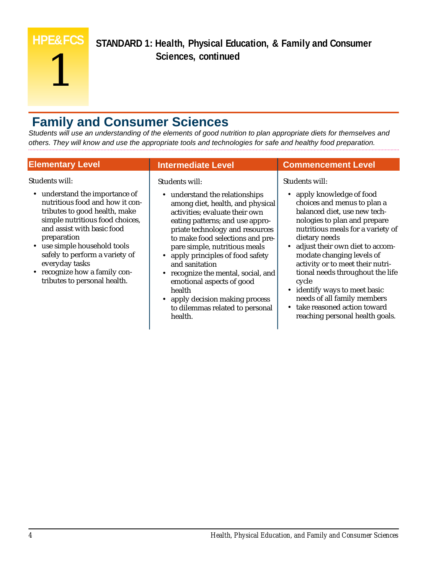**HPE&FCS** 1

**STANDARD 1: Health, Physical Education, & Family and Consumer Sciences, continued**

#### **Family and Consumer Sciences**

*Students will use an understanding of the elements of good nutrition to plan appropriate diets for themselves and others. They will know and use the appropriate tools and technologies for safe and healthy food preparation.*

| <b>Elementary Level</b>                                                                                                                                                                                                                                                                                                                                   | <b>Intermediate Level</b>                                                                                                                                                                                                                                                                                                                                                                                                                                                                          | <b>Commencement Level</b>                                                                                                                                                                                                                                                                                                                                                                                                                                                                        |
|-----------------------------------------------------------------------------------------------------------------------------------------------------------------------------------------------------------------------------------------------------------------------------------------------------------------------------------------------------------|----------------------------------------------------------------------------------------------------------------------------------------------------------------------------------------------------------------------------------------------------------------------------------------------------------------------------------------------------------------------------------------------------------------------------------------------------------------------------------------------------|--------------------------------------------------------------------------------------------------------------------------------------------------------------------------------------------------------------------------------------------------------------------------------------------------------------------------------------------------------------------------------------------------------------------------------------------------------------------------------------------------|
| Students will:<br>• understand the importance of<br>nutritious food and how it con-<br>tributes to good health, make<br>simple nutritious food choices,<br>and assist with basic food<br>preparation<br>• use simple household tools<br>safely to perform a variety of<br>everyday tasks<br>• recognize how a family con-<br>tributes to personal health. | Students will:<br>• understand the relationships<br>among diet, health, and physical<br>activities; evaluate their own<br>eating patterns; and use appro-<br>priate technology and resources<br>to make food selections and pre-<br>pare simple, nutritious meals<br>• apply principles of food safety<br>and sanitation<br>• recognize the mental, social, and<br>emotional aspects of good<br>health<br>apply decision making process<br>$\bullet$<br>to dilemmas related to personal<br>health. | Students will:<br>• apply knowledge of food<br>choices and menus to plan a<br>balanced diet, use new tech-<br>nologies to plan and prepare<br>nutritious meals for a variety of<br>dietary needs<br>adjust their own diet to accom-<br>$\bullet$<br>modate changing levels of<br>activity or to meet their nutri-<br>tional needs throughout the life<br>cycle<br>• identify ways to meet basic<br>needs of all family members<br>take reasoned action toward<br>reaching personal health goals. |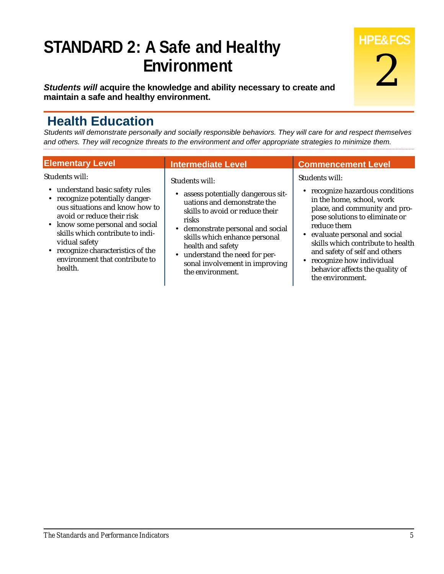#### **STANDARD 2: A Safe and Healthy Environment**

*Students will* **acquire the knowledge and ability necessary to create and maintain a safe and healthy environment.**

#### **Health Education**

*Students will demonstrate personally and socially responsible behaviors. They will care for and respect themselves and others. They will recognize threats to the environment and offer appropriate strategies to minimize them.*

| <b>Elementary Level</b>                                                                                                                                                                                                                                                                                                         | <b>Intermediate Level</b>                                                                                                                                                                                                                                                                                         | <b>Commencement Level</b>                                                                                                                                                                                                                                                                                                                                           |
|---------------------------------------------------------------------------------------------------------------------------------------------------------------------------------------------------------------------------------------------------------------------------------------------------------------------------------|-------------------------------------------------------------------------------------------------------------------------------------------------------------------------------------------------------------------------------------------------------------------------------------------------------------------|---------------------------------------------------------------------------------------------------------------------------------------------------------------------------------------------------------------------------------------------------------------------------------------------------------------------------------------------------------------------|
| Students will:<br>• understand basic safety rules<br>• recognize potentially danger-<br>ous situations and know how to<br>avoid or reduce their risk<br>• know some personal and social<br>skills which contribute to indi-<br>vidual safety<br>• recognize characteristics of the<br>environment that contribute to<br>health. | Students will:<br>assess potentially dangerous sit-<br>uations and demonstrate the<br>skills to avoid or reduce their<br>risks<br>• demonstrate personal and social<br>skills which enhance personal<br>health and safety<br>• understand the need for per-<br>sonal involvement in improving<br>the environment. | <b>Students will:</b><br>• recognize hazardous conditions<br>in the home, school, work<br>place, and community and pro-<br>pose solutions to eliminate or<br>reduce them<br>• evaluate personal and social<br>skills which contribute to health<br>and safety of self and others<br>recognize how individual<br>behavior affects the quality of<br>the environment. |

**HPE&FCS**

2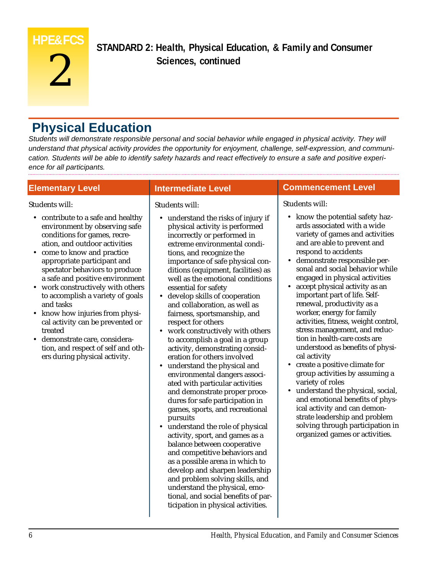#### **HPE&FCS**

# 2

**STANDARD 2: Health, Physical Education, & Family and Consumer Sciences, continued** 

#### **Physical Education**

*Students will demonstrate responsible personal and social behavior while engaged in physical activity. They will understand that physical activity provides the opportunity for enjoyment, challenge, self-expression, and communication. Students will be able to identify safety hazards and react effectively to ensure a safe and positive experience for all participants.*

#### **Elementary Level** Students will: • contribute to a safe and healthy environment by observing safe conditions for games, recreation, and outdoor activities • come to know and practice appropriate participant and spectator behaviors to produce a safe and positive environment work constructively with others to accomplish a variety of goals and tasks • know how injuries from physical activity can be prevented or treated • demonstrate care, consideration, and respect of self and others during physical activity. **Intermediate Level** Students will: • understand the risks of injury if physical activity is performed incorrectly or performed in extreme environmental conditions, and recognize the importance of safe physical conditions (equipment, facilities) as well as the emotional conditions essential for safety • develop skills of cooperation and collaboration, as well as fairness, sportsmanship, and respect for others work constructively with others to accomplish a goal in a group activity, demonstrating consideration for others involved • understand the physical and environmental dangers associated with particular activities and demonstrate proper procedures for safe participation in games, sports, and recreational pursuits • understand the role of physical activity, sport, and games as a balance between cooperative and competitive behaviors and as a possible arena in which to develop and sharpen leadership and problem solving skills, and understand the physical, emotional, and social benefits of participation in physical activities. **Commencement Level** Students will: • know the potential safety hazards associated with a wide variety of games and activities and are able to prevent and respond to accidents • demonstrate responsible personal and social behavior while engaged in physical activities • accept physical activity as an important part of life. Selfrenewal, productivity as a worker, energy for family activities, fitness, weight control, stress management, and reduction in health-care costs are understood as benefits of physical activity • create a positive climate for group activities by assuming a variety of roles • understand the physical, social, and emotional benefits of physical activity and can demonstrate leadership and problem solving through participation in organized games or activities.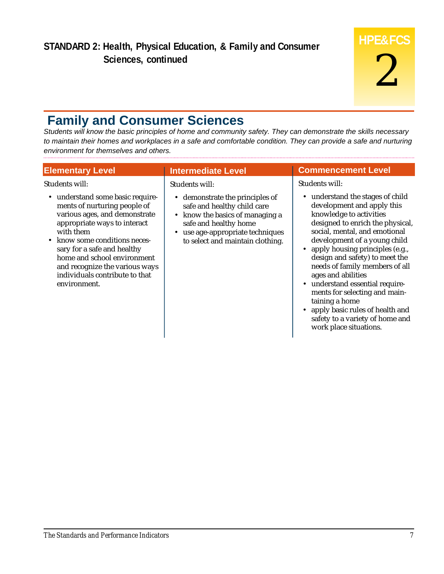#### **Family and Consumer Sciences**

*Students will know the basic principles of home and community safety. They can demonstrate the skills necessary to maintain their homes and workplaces in a safe and comfortable condition. They can provide a safe and nurturing environment for themselves and others.*

| <b>Elementary Level</b>                                                                                                                                                                                                                                                                                                                                        | <b>Intermediate Level</b>                                                                                                                                                                                                     | <b>Commencement Level</b>                                                                                                                                                                                                                                                                                                                                                                                                                                                             |
|----------------------------------------------------------------------------------------------------------------------------------------------------------------------------------------------------------------------------------------------------------------------------------------------------------------------------------------------------------------|-------------------------------------------------------------------------------------------------------------------------------------------------------------------------------------------------------------------------------|---------------------------------------------------------------------------------------------------------------------------------------------------------------------------------------------------------------------------------------------------------------------------------------------------------------------------------------------------------------------------------------------------------------------------------------------------------------------------------------|
| Students will:<br>• understand some basic require-<br>ments of nurturing people of<br>various ages, and demonstrate<br>appropriate ways to interact<br>with them<br>know some conditions neces-<br>$\bullet$<br>sary for a safe and healthy<br>home and school environment<br>and recognize the various ways<br>individuals contribute to that<br>environment. | Students will:<br>• demonstrate the principles of<br>safe and healthy child care<br>know the basics of managing a<br>$\bullet$<br>safe and healthy home<br>use age-appropriate techniques<br>to select and maintain clothing. | Students will:<br>• understand the stages of child<br>development and apply this<br>knowledge to activities<br>designed to enrich the physical,<br>social, mental, and emotional<br>development of a young child<br>• apply housing principles (e.g.,<br>design and safety) to meet the<br>needs of family members of all<br>ages and abilities<br>• understand essential require-<br>ments for selecting and main-<br>taining a home<br>apply basic rules of health and<br>$\bullet$ |
|                                                                                                                                                                                                                                                                                                                                                                |                                                                                                                                                                                                                               | safety to a variety of home and<br>work place situations.                                                                                                                                                                                                                                                                                                                                                                                                                             |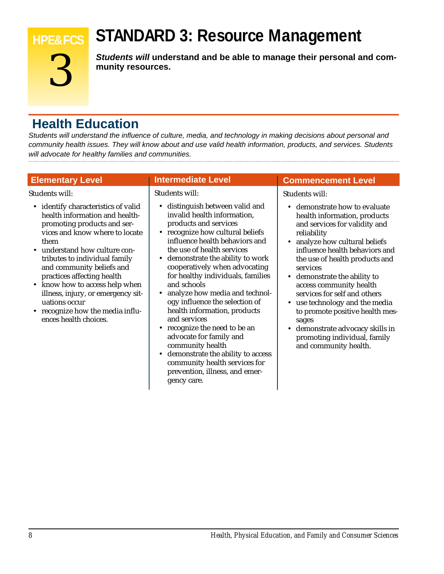#### **STANDARD 3: Resource Management**



**HPE&FCS**

*Students will* **understand and be able to manage their personal and community resources.**

#### **Health Education**

*Students will understand the influence of culture, media, and technology in making decisions about personal and community health issues. They will know about and use valid health information, products, and services. Students will advocate for healthy families and communities.*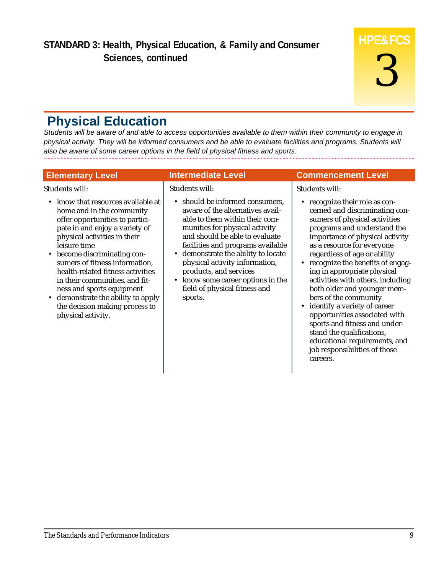#### **Physical Education**

*Students will be aware of and able to access opportunities available to them within their community to engage in physical activity. They will be informed consumers and be able to evaluate facilities and programs. Students will also be aware of some career options in the field of physical fitness and sports.*

| <b>Elementary Level</b>                                                                                                                                                                                                                                                             | <b>Intermediate Level</b>                                                                                                                                                                                                                                                                                        | <b>Commencement Level</b>                                                                                                                                                                                                                                                                                                               |
|-------------------------------------------------------------------------------------------------------------------------------------------------------------------------------------------------------------------------------------------------------------------------------------|------------------------------------------------------------------------------------------------------------------------------------------------------------------------------------------------------------------------------------------------------------------------------------------------------------------|-----------------------------------------------------------------------------------------------------------------------------------------------------------------------------------------------------------------------------------------------------------------------------------------------------------------------------------------|
| Students will:<br>• know that resources available at<br>home and in the community<br>offer opportunities to partici-<br>pate in and enjoy a variety of<br>physical activities in their<br>leisure time<br>become discriminating con-<br>$\bullet$<br>sumers of fitness information, | <b>Students will:</b><br>• should be informed consumers,<br>aware of the alternatives avail-<br>able to them within their com-<br>munities for physical activity<br>and should be able to evaluate<br>facilities and programs available<br>• demonstrate the ability to locate<br>physical activity information, | Students will:<br>• recognize their role as con-<br>cerned and discriminating con-<br>sumers of physical activities<br>programs and understand the<br>importance of physical activity<br>as a resource for everyone<br>regardless of age or ability<br>• recognize the benefits of engag-                                               |
| health-related fitness activities<br>in their communities, and fit-<br>ness and sports equipment<br>demonstrate the ability to apply<br>the decision making process to<br>physical activity.                                                                                        | products, and services<br>• know some career options in the<br>field of physical fitness and<br>sports.                                                                                                                                                                                                          | ing in appropriate physical<br>activities with others, including<br>both older and younger mem-<br>bers of the community<br>• identify a variety of career<br>opportunities associated with<br>sports and fitness and under-<br>stand the qualifications,<br>educational requirements, and<br>job responsibilities of those<br>careers. |